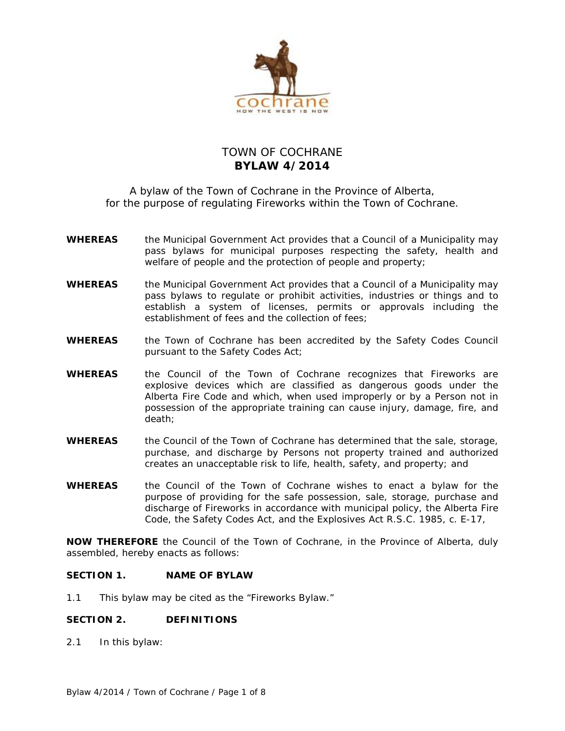

# TOWN OF COCHRANE **BYLAW 4/2014**

A bylaw of the Town of Cochrane in the Province of Alberta, for the purpose of regulating Fireworks within the Town of Cochrane.

- **WHEREAS** the *Municipal Government Act* provides that a Council of a Municipality may pass bylaws for municipal purposes respecting the safety, health and welfare of people and the protection of people and property;
- **WHEREAS** the *Municipal Government Act* provides that a Council of a Municipality may pass bylaws to regulate or prohibit activities, industries or things and to establish a system of licenses, permits or approvals including the establishment of fees and the collection of fees;
- **WHEREAS** the Town of Cochrane has been accredited by the Safety Codes Council pursuant to the *Safety Codes Act*;
- **WHEREAS** the Council of the Town of Cochrane recognizes that Fireworks are explosive devices which are classified as dangerous goods under the Alberta Fire Code and which, when used improperly or by a Person not in possession of the appropriate training can cause injury, damage, fire, and death;
- **WHEREAS** the Council of the Town of Cochrane has determined that the sale, storage, purchase, and discharge by Persons not property trained and authorized creates an unacceptable risk to life, health, safety, and property; and
- **WHEREAS** the Council of the Town of Cochrane wishes to enact a bylaw for the purpose of providing for the safe possession, sale, storage, purchase and discharge of Fireworks in accordance with municipal policy, the Alberta Fire Code, the *Safety Codes Act*, and the *Explosives Act* R.S.C. 1985, c. E-17,

**NOW THEREFORE** the Council of the Town of Cochrane, in the Province of Alberta, duly assembled, hereby enacts as follows:

## **SECTION 1. NAME OF BYLAW**

1.1 This bylaw may be cited as the "Fireworks Bylaw."

## **SECTION 2. DEFINITIONS**

2.1 In this bylaw: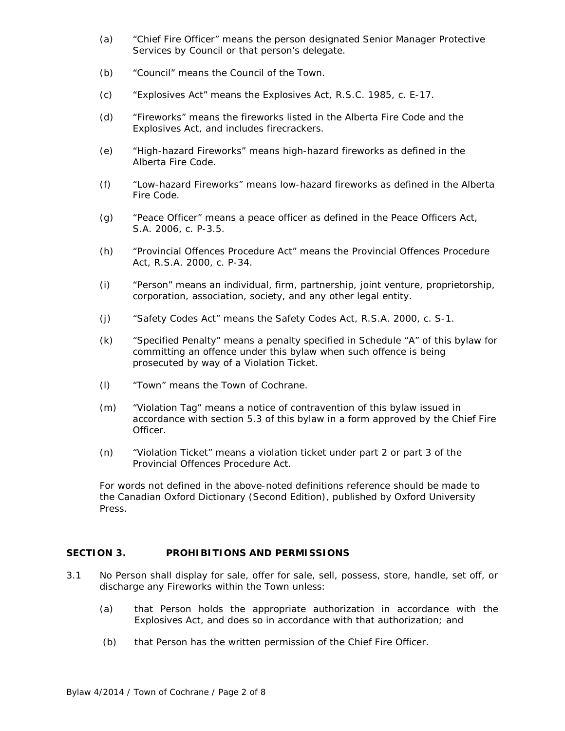- (a) "Chief Fire Officer" means the person designated Senior Manager Protective Services by Council or that person's delegate.
- (b) "Council" means the Council of the Town.
- (c) "*Explosives Act*" means the *Explosives Act*, R.S.C. 1985, c. E-17.
- (d) "Fireworks" means the fireworks listed in the Alberta Fire Code and the *Explosives Act*, and includes firecrackers.
- (e) "High-hazard Fireworks" means high-hazard fireworks as defined in the Alberta Fire Code.
- (f) "Low-hazard Fireworks" means low-hazard fireworks as defined in the Alberta Fire Code.
- (g) "Peace Officer" means a peace officer as defined in the *Peace Officers Act*, S.A. 2006, c. P-3.5.
- (h) "*Provincial Offences Procedure Act*" means the *Provincial Offences Procedure Act*, R.S.A. 2000, c. P-34.
- (i) "Person" means an individual, firm, partnership, joint venture, proprietorship, corporation, association, society, and any other legal entity.
- (j) "*Safety Codes Act*" means the *Safety Codes Act*, R.S.A. 2000, c. S-1.
- (k) "Specified Penalty" means a penalty specified in Schedule "A" of this bylaw for committing an offence under this bylaw when such offence is being prosecuted by way of a Violation Ticket.
- (l) "Town" means the Town of Cochrane.
- (m) "Violation Tag" means a notice of contravention of this bylaw issued in accordance with section 5.3 of this bylaw in a form approved by the Chief Fire Officer.
- (n) "Violation Ticket" means a violation ticket under part 2 or part 3 of the *Provincial Offences Procedure Act*.

For words not defined in the above-noted definitions reference should be made to the Canadian Oxford Dictionary (Second Edition), published by Oxford University Press.

## **SECTION 3. PROHIBITIONS AND PERMISSIONS**

- 3.1 No Person shall display for sale, offer for sale, sell, possess, store, handle, set off, or discharge any Fireworks within the Town unless:
	- (a) that Person holds the appropriate authorization in accordance with the *Explosives Act*, and does so in accordance with that authorization; and
	- (b) that Person has the written permission of the Chief Fire Officer.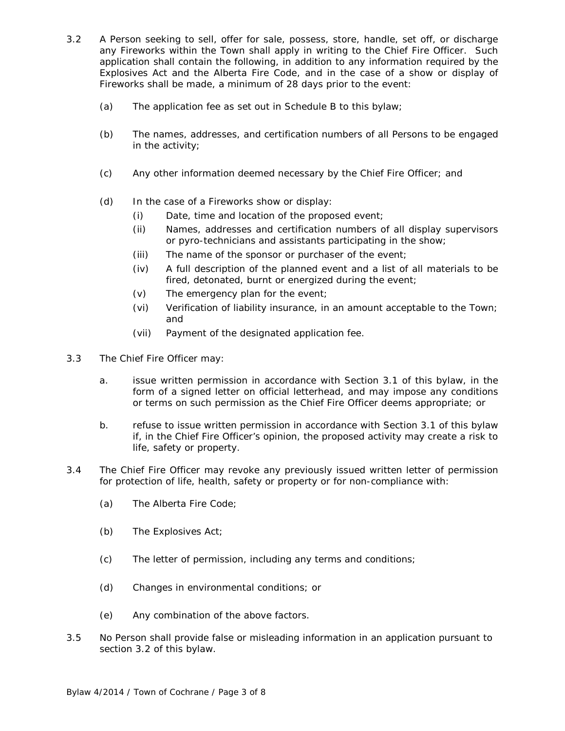- 3.2 A Person seeking to sell, offer for sale, possess, store, handle, set off, or discharge any Fireworks within the Town shall apply in writing to the Chief Fire Officer. Such application shall contain the following, in addition to any information required by the *Explosives Act* and the Alberta Fire Code, and in the case of a show or display of Fireworks shall be made, a minimum of 28 days prior to the event:
	- (a) The application fee as set out in Schedule B to this bylaw;
	- (b) The names, addresses, and certification numbers of all Persons to be engaged in the activity;
	- (c) Any other information deemed necessary by the Chief Fire Officer; and
	- (d) In the case of a Fireworks show or display:
		- (i) Date, time and location of the proposed event;
		- (ii) Names, addresses and certification numbers of all display supervisors or pyro-technicians and assistants participating in the show;
		- (iii) The name of the sponsor or purchaser of the event;
		- (iv) A full description of the planned event and a list of all materials to be fired, detonated, burnt or energized during the event;
		- (v) The emergency plan for the event;
		- (vi) Verification of liability insurance, in an amount acceptable to the Town; and
		- (vii) Payment of the designated application fee.
- 3.3 The Chief Fire Officer may:
	- a. issue written permission in accordance with Section 3.1 of this bylaw, in the form of a signed letter on official letterhead, and may impose any conditions or terms on such permission as the Chief Fire Officer deems appropriate; or
	- b. refuse to issue written permission in accordance with Section 3.1 of this bylaw if, in the Chief Fire Officer's opinion, the proposed activity may create a risk to life, safety or property.
- 3.4 The Chief Fire Officer may revoke any previously issued written letter of permission for protection of life, health, safety or property or for non-compliance with:
	- (a) The Alberta Fire Code;
	- (b) The *Explosives Act*;
	- (c) The letter of permission, including any terms and conditions;
	- (d) Changes in environmental conditions; or
	- (e) Any combination of the above factors.
- 3.5 No Person shall provide false or misleading information in an application pursuant to section 3.2 of this bylaw.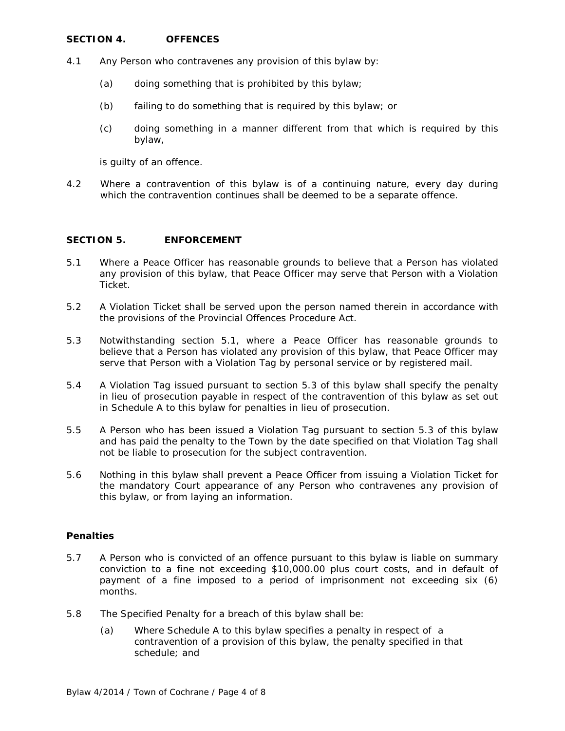## **SECTION 4. OFFENCES**

- 4.1 Any Person who contravenes any provision of this bylaw by:
	- (a) doing something that is prohibited by this bylaw;
	- (b) failing to do something that is required by this bylaw; or
	- (c) doing something in a manner different from that which is required by this bylaw,

is guilty of an offence.

4.2 Where a contravention of this bylaw is of a continuing nature, every day during which the contravention continues shall be deemed to be a separate offence.

### **SECTION 5. ENFORCEMENT**

- 5.1 Where a Peace Officer has reasonable grounds to believe that a Person has violated any provision of this bylaw, that Peace Officer may serve that Person with a Violation Ticket.
- 5.2 A Violation Ticket shall be served upon the person named therein in accordance with the provisions of the *Provincial Offences Procedure Act*.
- 5.3 Notwithstanding section 5.1, where a Peace Officer has reasonable grounds to believe that a Person has violated any provision of this bylaw, that Peace Officer may serve that Person with a Violation Tag by personal service or by registered mail.
- 5.4 A Violation Tag issued pursuant to section 5.3 of this bylaw shall specify the penalty in lieu of prosecution payable in respect of the contravention of this bylaw as set out in Schedule A to this bylaw for penalties in lieu of prosecution.
- 5.5 A Person who has been issued a Violation Tag pursuant to section 5.3 of this bylaw and has paid the penalty to the Town by the date specified on that Violation Tag shall not be liable to prosecution for the subject contravention.
- 5.6 Nothing in this bylaw shall prevent a Peace Officer from issuing a Violation Ticket for the mandatory Court appearance of any Person who contravenes any provision of this bylaw, or from laying an information.

#### **Penalties**

- 5.7 A Person who is convicted of an offence pursuant to this bylaw is liable on summary conviction to a fine not exceeding \$10,000.00 plus court costs, and in default of payment of a fine imposed to a period of imprisonment not exceeding six (6) months.
- 5.8 The Specified Penalty for a breach of this bylaw shall be:
	- (a) Where Schedule A to this bylaw specifies a penalty in respect of a contravention of a provision of this bylaw, the penalty specified in that schedule; and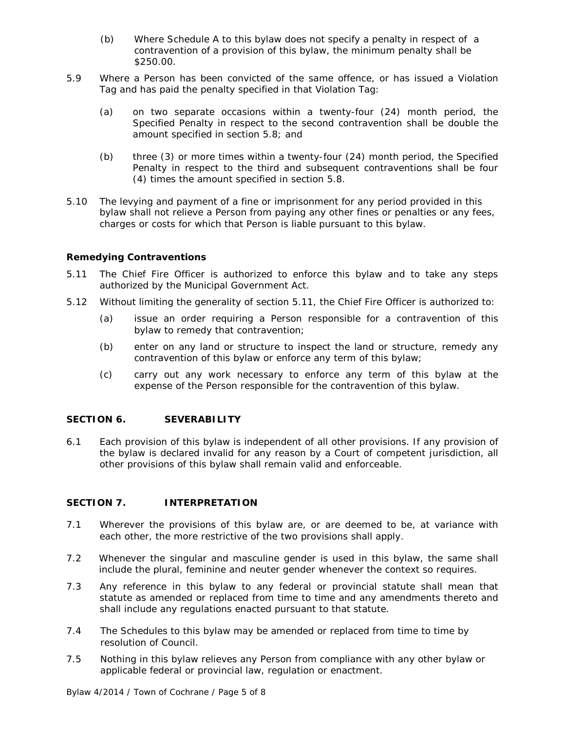- (b) Where Schedule A to this bylaw does not specify a penalty in respect of a contravention of a provision of this bylaw, the minimum penalty shall be \$250.00.
- 5.9 Where a Person has been convicted of the same offence, or has issued a Violation Tag and has paid the penalty specified in that Violation Tag:
	- (a) on two separate occasions within a twenty-four (24) month period, the Specified Penalty in respect to the second contravention shall be double the amount specified in section 5.8; and
	- (b) three (3) or more times within a twenty-four (24) month period, the Specified Penalty in respect to the third and subsequent contraventions shall be four (4) times the amount specified in section 5.8.
- 5.10 The levying and payment of a fine or imprisonment for any period provided in this bylaw shall not relieve a Person from paying any other fines or penalties or any fees, charges or costs for which that Person is liable pursuant to this bylaw.

## **Remedying Contraventions**

- 5.11 The Chief Fire Officer is authorized to enforce this bylaw and to take any steps authorized by the *Municipal Government Act*.
- 5.12 Without limiting the generality of section 5.11, the Chief Fire Officer is authorized to:
	- (a) issue an order requiring a Person responsible for a contravention of this bylaw to remedy that contravention;
	- (b) enter on any land or structure to inspect the land or structure, remedy any contravention of this bylaw or enforce any term of this bylaw;
	- (c) carry out any work necessary to enforce any term of this bylaw at the expense of the Person responsible for the contravention of this bylaw.

#### **SECTION 6. SEVERABILITY**

6.1 Each provision of this bylaw is independent of all other provisions. If any provision of the bylaw is declared invalid for any reason by a Court of competent jurisdiction, all other provisions of this bylaw shall remain valid and enforceable.

### **SECTION 7. INTERPRETATION**

- 7.1 Wherever the provisions of this bylaw are, or are deemed to be, at variance with each other, the more restrictive of the two provisions shall apply.
- 7.2 Whenever the singular and masculine gender is used in this bylaw, the same shall include the plural, feminine and neuter gender whenever the context so requires.
- 7.3 Any reference in this bylaw to any federal or provincial statute shall mean that statute as amended or replaced from time to time and any amendments thereto and shall include any regulations enacted pursuant to that statute.
- 7.4 The Schedules to this bylaw may be amended or replaced from time to time by resolution of Council.
- 7.5 Nothing in this bylaw relieves any Person from compliance with any other bylaw or applicable federal or provincial law, regulation or enactment.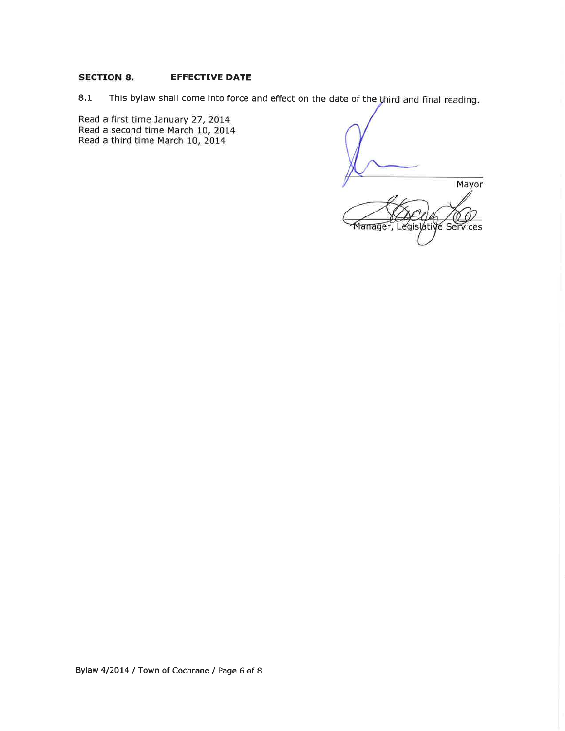#### **SECTION 8.** EFFECTIVE DATE

8.1 This bylaw shall come into force and effect on the date of the third and final reading.

Read a first time January 27, 2014 Read a second time March 10, 2014 Read a third time March 10, 2014

Mayor egislative Services lanager,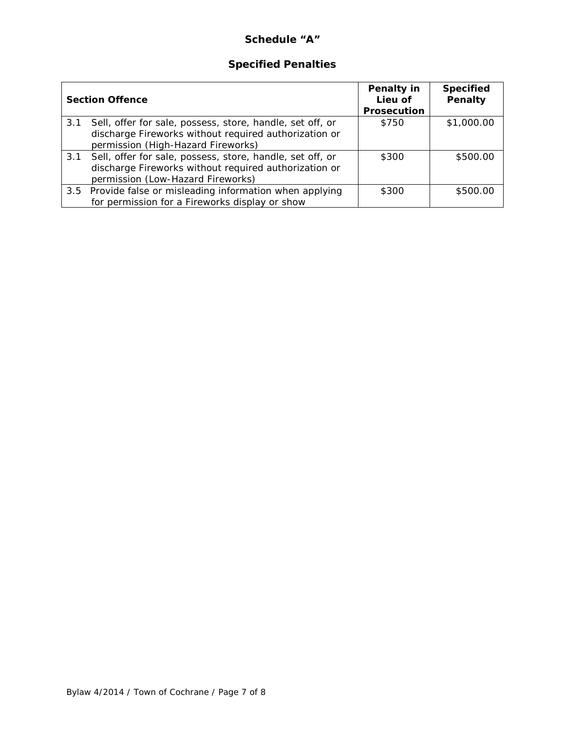# **Schedule "A"**

# **Specified Penalties**

| <b>Section Offence</b> |                                                                                                                                                          | Penalty in<br>Lieu of | <b>Specified</b><br>Penalty |
|------------------------|----------------------------------------------------------------------------------------------------------------------------------------------------------|-----------------------|-----------------------------|
|                        |                                                                                                                                                          | <b>Prosecution</b>    |                             |
| 3.1                    | Sell, offer for sale, possess, store, handle, set off, or<br>discharge Fireworks without required authorization or<br>permission (High-Hazard Fireworks) | \$750                 | \$1,000.00                  |
| 3.1                    | Sell, offer for sale, possess, store, handle, set off, or<br>discharge Fireworks without required authorization or<br>permission (Low-Hazard Fireworks)  | \$300                 | \$500.00                    |
|                        | 3.5 Provide false or misleading information when applying<br>for permission for a Fireworks display or show                                              | \$300                 | \$500.00                    |